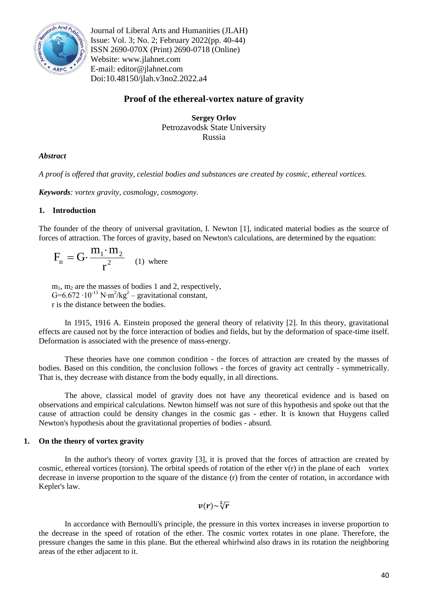

Journal of Liberal Arts and Humanities (JLAH) Issue: Vol. 3; No. 2; February 2022(pp. 40-44) ISSN 2690-070X (Print) 2690-0718 (Online) Website: www.jlahnet.com E-mail: editor@jlahnet.com Doi:10.48150/jlah.v3no2.2022.a4

# **Proof of the ethereal-vortex nature of gravity**

**Sergey Orlov** Petrozavodsk State University Russia

## *Abstract*

*A proof is offered that gravity, celestial bodies and substances are created by cosmic, ethereal vortices.*

*Keywords: vortex gravity, cosmology, cosmogony.*

## **1. Introduction**

The founder of the theory of universal gravitation, I. Newton [1], indicated material bodies as the source of forces of attraction. The forces of gravity, based on Newton's calculations, are determined by the equation:

$$
F_{\rm n} = G \cdot \frac{m_1 \cdot m_2}{r^2} \quad (1) \text{ where}
$$

 $m_1$ ,  $m_2$  are the masses of bodies 1 and 2, respectively, G=6.672 ·  $10^{-11}$  N⋅m<sup>2</sup>/kg<sup>2</sup> – gravitational constant, r is the distance between the bodies.

In 1915, 1916 A. Einstein proposed the general theory of relativity [2]. In this theory, gravitational effects are caused not by the force interaction of bodies and fields, but by the deformation of space-time itself. Deformation is associated with the presence of mass-energy.

These theories have one common condition - the forces of attraction are created by the masses of bodies. Based on this condition, the conclusion follows - the forces of gravity act centrally - symmetrically. That is, they decrease with distance from the body equally, in all directions.

The above, classical model of gravity does not have any theoretical evidence and is based on observations and empirical calculations. Newton himself was not sure of this hypothesis and spoke out that the cause of attraction could be density changes in the cosmic gas - ether. It is known that Huygens called Newton's hypothesis about the gravitational properties of bodies - absurd.

## **1. On the theory of vortex gravity**

In the author's theory of vortex gravity [3], it is proved that the forces of attraction are created by cosmic, ethereal vortices (torsion). The orbital speeds of rotation of the ether  $v(r)$  in the plane of each vortex decrease in inverse proportion to the square of the distance (r) from the center of rotation, in accordance with Kepler's law.

 $v(r)$ ~ $\sqrt[2]{r}$ 

In accordance with Bernoulli's principle, the pressure in this vortex increases in inverse proportion to the decrease in the speed of rotation of the ether. The cosmic vortex rotates in one plane. Therefore, the pressure changes the same in this plane. But the ethereal whirlwind also draws in its rotation the neighboring areas of the ether adjacent to it.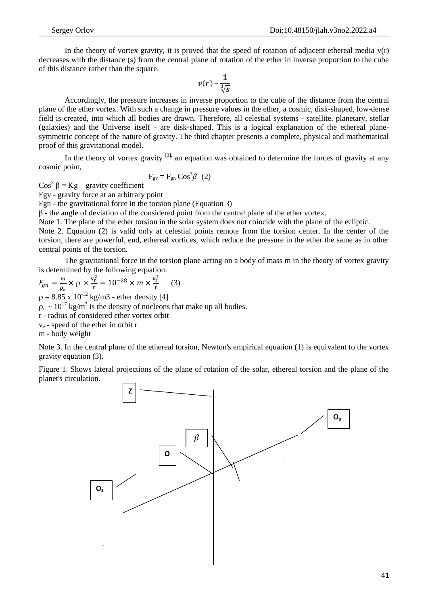In the theory of vortex gravity, it is proved that the speed of rotation of adjacent ethereal media  $v(r)$ decreases with the distance (s) from the central plane of rotation of the ether in inverse proportion to the cube of this distance rather than the square.

$$
v(r) \sim \frac{1}{\sqrt[3]{s}}
$$

Accordingly, the pressure increases in inverse proportion to the cube of the distance from the central plane of the ether vortex. With such a change in pressure values in the ether, a cosmic, disk-shaped, low-dense field is created, into which all bodies are drawn. Therefore, all celestial systems - satellite, planetary, stellar (galaxies) and the Universe itself - are disk-shaped. This is a logical explanation of the ethereal planesymmetric concept of the nature of gravity. The third chapter presents a complete, physical and mathematical proof of this gravitational model.

In the theory of vortex gravity  $[3]$ , an equation was obtained to determine the forces of gravity at any cosmic point,

$$
F_{\rm gv} = F_{\rm gn} \cos^3 \beta \quad (2)
$$

Cos<sup>3</sup> β = Kg – gravity coefficient

Fgv - gravity force at an arbitrary point

Fgn - the gravitational force in the torsion plane (Equation 3)

β - the angle of deviation of the considered point from the central plane of the ether vortex.

Note 1. The plane of the ether torsion in the solar system does not coincide with the plane of the ecliptic.

Note 2. Equation (2) is valid only at celestial points remote from the torsion center. In the center of the torsion, there are powerful, end, ethereal vortices, which reduce the pressure in the ether the same as in other central points of the torsion.

The gravitational force in the torsion plane acting on a body of mass m in the theory of vortex gravity is determined by the following equation:

 $F_{gn}=\frac{m}{2}$  $\frac{m}{\rho_n} \times \rho \times \frac{v_r^2}{r}$  $\frac{v_r^2}{r} = 10^{-28} \times m \times \frac{v_r^2}{r}$  $\frac{r}{r}$  (3)

 $p = 8.85 \times 10^{-12}$  kg/m3 - ether density [4]

 $\rho_n \sim 10^{17}$  kg/m<sup>3</sup> is the density of nucleons that make up all bodies.

r - radius of considered ether vortex orbit

 $v_e$  - speed of the ether in orbit r

m - body weight

Note 3. In the central plane of the ethereal torsion, Newton's empirical equation (1) is equivalent to the vortex gravity equation (3).

Figure 1. Shows lateral projections of the plane of rotation of the solar, ethereal torsion and the plane of the planet's circulation.

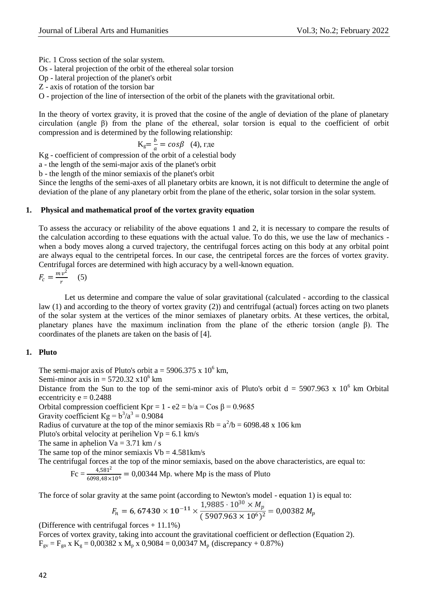Pic. 1 Cross section of the solar system.

Os - lateral projection of the orbit of the ethereal solar torsion

Op - lateral projection of the planet's orbit

Z - axis of rotation of the torsion bar

O - projection of the line of intersection of the orbit of the planets with the gravitational orbit.

In the theory of vortex gravity, it is proved that the cosine of the angle of deviation of the plane of planetary circulation (angle β) from the plane of the ethereal, solar torsion is equal to the coefficient of orbit compression and is determined by the following relationship:

$$
K_g = \frac{b}{a} = \cos\beta \quad (4), \text{ r,}
$$

Kg - coefficient of compression of the orbit of a celestial body

a - the length of the semi-major axis of the planet's orbit

b - the length of the minor semiaxis of the planet's orbit

Since the lengths of the semi-axes of all planetary orbits are known, it is not difficult to determine the angle of deviation of the plane of any planetary orbit from the plane of the etheric, solar torsion in the solar system.

#### **1. Physical and mathematical proof of the vortex gravity equation**

To assess the accuracy or reliability of the above equations 1 and 2, it is necessary to compare the results of the calculation according to these equations with the actual value. To do this, we use the law of mechanics when a body moves along a curved trajectory, the centrifugal forces acting on this body at any orbital point are always equal to the centripetal forces. In our case, the centripetal forces are the forces of vortex gravity. Centrifugal forces are determined with high accuracy by a well-known equation.

$$
F_c = \frac{mv^2}{r} \quad (5)
$$

Let us determine and compare the value of solar gravitational (calculated - according to the classical law (1) and according to the theory of vortex gravity (2)) and centrifugal (actual) forces acting on two planets of the solar system at the vertices of the minor semiaxes of planetary orbits. At these vertices, the orbital, planetary planes have the maximum inclination from the plane of the etheric torsion (angle β). The coordinates of the planets are taken on the basis of [4].

## **1. Pluto**

The semi-major axis of Pluto's orbit  $a = 5906.375 \times 10^6$  km,

Semi-minor axis in  $= 5720.32 \times 10^6$  km

Distance from the Sun to the top of the semi-minor axis of Pluto's orbit  $d = 5907.963 \times 10^6$  km Orbital eccentricity  $e = 0.2488$ 

Orbital compression coefficient Kpr =  $1 - e^2 = b/a = Cos \beta = 0.9685$ 

Gravity coefficient  $Kg = b^3/a^3 = 0.9084$ 

Radius of curvature at the top of the minor semiaxis  $Rb = a^2/b = 6098.48 \text{ x } 106 \text{ km}$ 

Pluto's orbital velocity at perihelion  $Vp = 6.1$  km/s

The same in aphelion  $Va = 3.71$  km / s

The same top of the minor semiaxis  $Vb = 4.581 \text{km/s}$ 

The centrifugal forces at the top of the minor semiaxis, based on the above characteristics, are equal to:

$$
Fc = \frac{4,581^2}{6098,48 \times 10^6} = 0,00344 \text{ Mp. where Mp is the mass of Pluto}
$$

The force of solar gravity at the same point (according to Newton's model - equation 1) is equal to:

$$
F_n = 6,67430 \times 10^{-11} \times \frac{1,9885 \cdot 10^{30} \times M_p}{(5907.963 \times 10^6)^2} = 0,00382 M_p
$$

(Difference with centrifugal forces  $+11.1\%$ )

Forces of vortex gravity, taking into account the gravitational coefficient or deflection (Equation 2).  $F_{gv} = F_{gn} x K_g = 0,00382 x M_p x 0,9084 = 0,00347 M_p$  (discrepancy + 0.87%)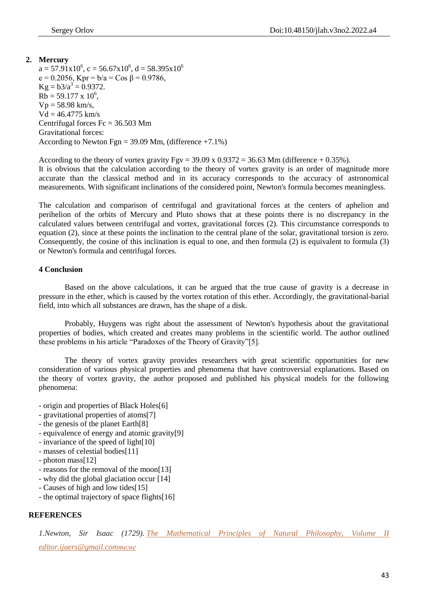## **2. Mercury**  $a = 57.91 \times 10^6$ ,  $c = 56.67 \times 10^6$ ,  $d = 58.395 \times 10^6$ e = 0.2056, Kpr =  $b/a = Cos \beta = 0.9786$ ,  $Kg = b3/a^3 = 0.9372$ .  $Rb = 59.177 \times 10^6$ ,  $Vp = 58.98$  km/s,  $Vd = 46.4775$  km/s Centrifugal forces  $Fc = 36.503$  Mm Gravitational forces: According to Newton Fgn =  $39.09$  Mm, (difference +7.1%)

According to the theory of vortex gravity  $Fgy = 39.09 \times 0.9372 = 36.63$  Mm (difference + 0.35%).

It is obvious that the calculation according to the theory of vortex gravity is an order of magnitude more accurate than the classical method and in its accuracy corresponds to the accuracy of astronomical measurements. With significant inclinations of the considered point, Newton's formula becomes meaningless.

The calculation and comparison of centrifugal and gravitational forces at the centers of aphelion and perihelion of the orbits of Mercury and Pluto shows that at these points there is no discrepancy in the calculated values between centrifugal and vortex, gravitational forces (2). This circumstance corresponds to equation (2), since at these points the inclination to the central plane of the solar, gravitational torsion is zero. Consequently, the cosine of this inclination is equal to one, and then formula (2) is equivalent to formula (3) or Newton's formula and centrifugal forces.

#### **4 Conclusion**

Based on the above calculations, it can be argued that the true cause of gravity is a decrease in pressure in the ether, which is caused by the vortex rotation of this ether. Accordingly, the gravitational-barial field, into which all substances are drawn, has the shape of a disk.

Probably, Huygens was right about the assessment of Newton's hypothesis about the gravitational properties of bodies, which created and creates many problems in the scientific world. The author outlined these problems in his article "Paradoxes of the Theory of Gravity"[5].

The theory of vortex gravity provides researchers with great scientific opportunities for new consideration of various physical properties and phenomena that have controversial explanations. Based on the theory of vortex gravity, the author proposed and published his physical models for the following phenomena:

- origin and properties of Black Holes[6]

- gravitational properties of atoms[7]
- the genesis of the planet Earth[8]
- equivalence of energy and atomic gravity[9]
- invariance of the speed of light[10]
- masses of celestial bodies[11]
- photon mass[12]
- reasons for the removal of the moon[13]
- why did the global glaciation occur [14]
- Causes of high and low tides[15]
- the optimal trajectory of space flights[16]

## **REFERENCES**

*1.Newton, Sir Isaac (1729). [The Mathematical Principles of Natural Philosophy,](https://books.google.com/books?id=6EqxPav3vIsC&pg=PA220) Volume II editor.ijaers@gmail.comтеме*